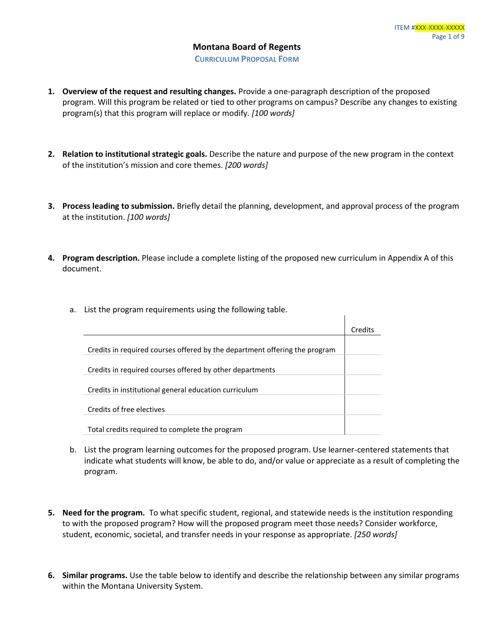**CURRICULUM PROPOSAL FORM**

- **1. Overview of the request and resulting changes.** Provide a one-paragraph description of the proposed program. Will this program be related or tied to other programs on campus? Describe any changes to existing program(s) that this program will replace or modify*. [100 words]*
- **2. Relation to institutional strategic goals.** Describe the nature and purpose of the new program in the context of the institution's mission and core themes. *[200 words]*
- **3. Process leading to submission.** Briefly detail the planning, development, and approval process of the program at the institution. *[100 words]*
- **4. Program description.** Please include a complete listing of the proposed new curriculum in Appendix A of this document.

 $\mathbf{I}$ 

a. List the program requirements using the following table.

|                                                                            | Credits |
|----------------------------------------------------------------------------|---------|
|                                                                            |         |
| Credits in required courses offered by the department offering the program |         |
| Credits in required courses offered by other departments                   |         |
| Credits in institutional general education curriculum                      |         |
| Credits of free electives                                                  |         |
| Total credits required to complete the program                             |         |

- b. List the program learning outcomes for the proposed program. Use learner-centered statements that indicate what students will know, be able to do, and/or value or appreciate as a result of completing the program.
- **5. Need for the program.** To what specific student, regional, and statewide needs is the institution responding to with the proposed program? How will the proposed program meet those needs? Consider workforce, student, economic, societal, and transfer needs in your response as appropriate. *[250 words]*
- **6. Similar programs.** Use the table below to identify and describe the relationship between any similar programs within the Montana University System.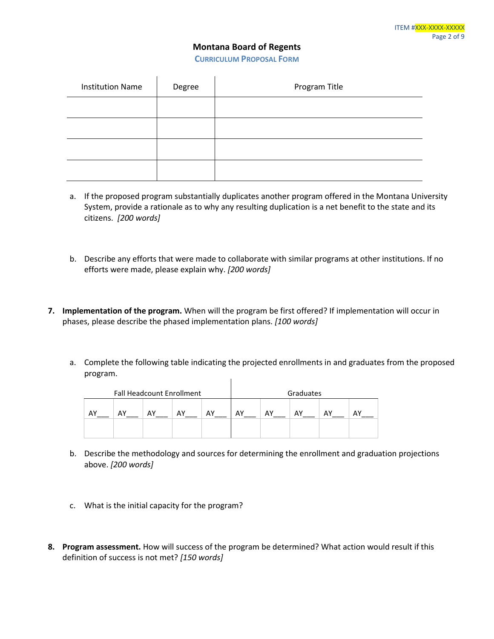**CURRICULUM PROPOSAL FORM**

| <b>Institution Name</b> | Degree | Program Title |
|-------------------------|--------|---------------|
|                         |        |               |
|                         |        |               |
|                         |        |               |
|                         |        |               |

- a. If the proposed program substantially duplicates another program offered in the Montana University System, provide a rationale as to why any resulting duplication is a net benefit to the state and its citizens. *[200 words]*
- b. Describe any efforts that were made to collaborate with similar programs at other institutions. If no efforts were made, please explain why. *[200 words]*
- **7. Implementation of the program.** When will the program be first offered? If implementation will occur in phases, please describe the phased implementation plans. *[100 words]*
	- a. Complete the following table indicating the projected enrollments in and graduates from the proposed program.  $\mathbf{I}$

|    | <b>Fall Headcount Enrollment</b> |    |    |    |                      | Graduates |  |  |  |
|----|----------------------------------|----|----|----|----------------------|-----------|--|--|--|
| AY | AY                               | AY | AY | AY | AY<br>AΥ<br>AY<br>AY |           |  |  |  |
|    |                                  |    |    |    |                      |           |  |  |  |

- b. Describe the methodology and sources for determining the enrollment and graduation projections above. *[200 words]*
- c. What is the initial capacity for the program?
- **8. Program assessment.** How will success of the program be determined? What action would result if this definition of success is not met? *[150 words]*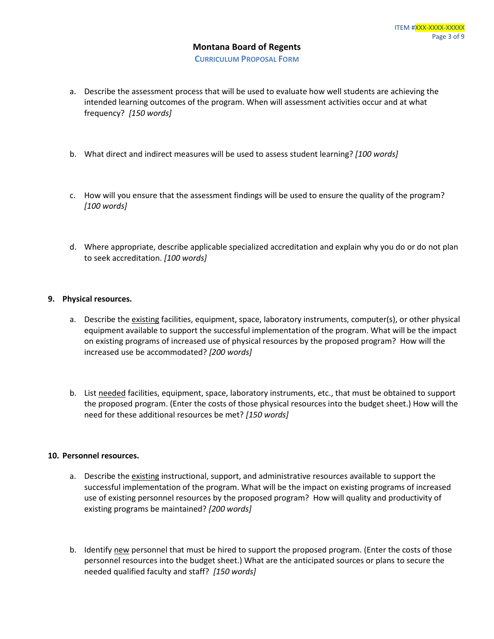- a. Describe the assessment process that will be used to evaluate how well students are achieving the intended learning outcomes of the program. When will assessment activities occur and at what frequency? *[150 words]*
- b. What direct and indirect measures will be used to assess student learning? *[100 words]*
- c. How will you ensure that the assessment findings will be used to ensure the quality of the program? *[100 words]*
- d. Where appropriate, describe applicable specialized accreditation and explain why you do or do not plan to seek accreditation. *[100 words]*

### **9. Physical resources.**

- a. Describe the existing facilities, equipment, space, laboratory instruments, computer(s), or other physical equipment available to support the successful implementation of the program. What will be the impact on existing programs of increased use of physical resources by the proposed program? How will the increased use be accommodated? *[200 words]*
- b. List needed facilities, equipment, space, laboratory instruments, etc., that must be obtained to support the proposed program. (Enter the costs of those physical resources into the budget sheet.) How will the need for these additional resources be met? *[150 words]*

#### **10. Personnel resources.**

- a. Describe the existing instructional, support, and administrative resources available to support the successful implementation of the program. What will be the impact on existing programs of increased use of existing personnel resources by the proposed program? How will quality and productivity of existing programs be maintained? *[200 words]*
- b. Identify new personnel that must be hired to support the proposed program. (Enter the costs of those personnel resources into the budget sheet.) What are the anticipated sources or plans to secure the needed qualified faculty and staff? *[150 words]*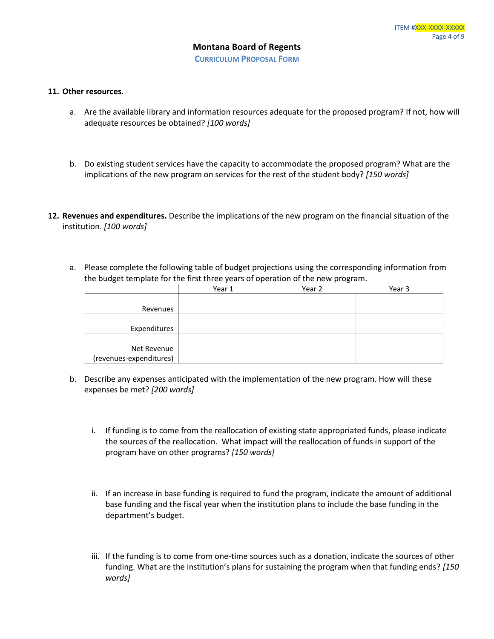#### **11. Other resources.**

- a. Are the available library and information resources adequate for the proposed program? If not, how will adequate resources be obtained? *[100 words]*
- b. Do existing student services have the capacity to accommodate the proposed program? What are the implications of the new program on services for the rest of the student body? *[150 words]*
- **12. Revenues and expenditures.** Describe the implications of the new program on the financial situation of the institution. *[100 words]*
	- a. Please complete the following table of budget projections using the corresponding information from the budget template for the first three years of operation of the new program.

|                         | Year 1 | Year 2 | Year 3 |
|-------------------------|--------|--------|--------|
|                         |        |        |        |
| Revenues                |        |        |        |
|                         |        |        |        |
| Expenditures            |        |        |        |
|                         |        |        |        |
| Net Revenue             |        |        |        |
| (revenues-expenditures) |        |        |        |

- b. Describe any expenses anticipated with the implementation of the new program. How will these expenses be met? *[200 words]*
	- i. If funding is to come from the reallocation of existing state appropriated funds, please indicate the sources of the reallocation. What impact will the reallocation of funds in support of the program have on other programs? *[150 words]*
	- ii. If an increase in base funding is required to fund the program, indicate the amount of additional base funding and the fiscal year when the institution plans to include the base funding in the department's budget.
	- iii. If the funding is to come from one-time sources such as a donation, indicate the sources of other funding. What are the institution's plans for sustaining the program when that funding ends? *[150 words]*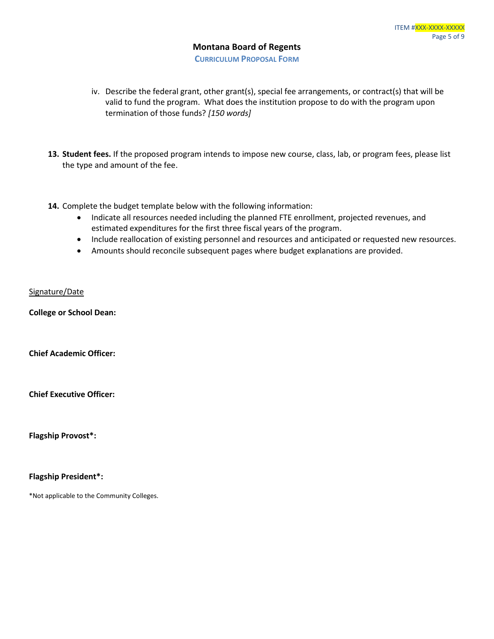**CURRICULUM PROPOSAL FORM**

- iv. Describe the federal grant, other grant(s), special fee arrangements, or contract(s) that will be valid to fund the program. What does the institution propose to do with the program upon termination of those funds? *[150 words]*
- **13. Student fees.** If the proposed program intends to impose new course, class, lab, or program fees, please list the type and amount of the fee.
- **14.** Complete the budget template below with the following information:
	- Indicate all resources needed including the planned FTE enrollment, projected revenues, and estimated expenditures for the first three fiscal years of the program.
	- Include reallocation of existing personnel and resources and anticipated or requested new resources.
	- Amounts should reconcile subsequent pages where budget explanations are provided.

### Signature/Date

**College or School Dean:**

**Chief Academic Officer:** 

**Chief Executive Officer:**

**Flagship Provost\*:**

**Flagship President\*:**

\*Not applicable to the Community Colleges.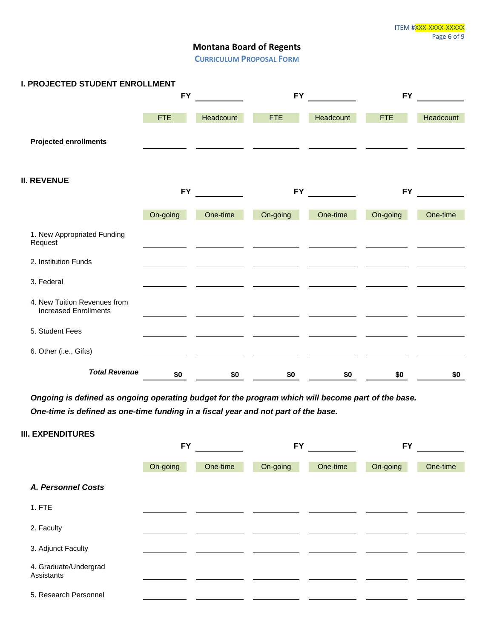**CURRICULUM PROPOSAL FORM**

| <b>I. PROJECTED STUDENT ENROLLMENT</b>                       |            |           |            |           |            |           |
|--------------------------------------------------------------|------------|-----------|------------|-----------|------------|-----------|
|                                                              | <b>FY</b>  |           | <b>FY</b>  |           | <b>FY</b>  |           |
|                                                              | <b>FTE</b> | Headcount | <b>FTE</b> | Headcount | <b>FTE</b> | Headcount |
| <b>Projected enrollments</b>                                 |            |           |            |           |            |           |
|                                                              |            |           |            |           |            |           |
| <b>II. REVENUE</b>                                           | <b>FY</b>  |           | <b>FY</b>  |           | <b>FY</b>  |           |
|                                                              | On-going   | One-time  | On-going   | One-time  | On-going   | One-time  |
| 1. New Appropriated Funding<br>Request                       |            |           |            |           |            |           |
| 2. Institution Funds                                         |            |           |            |           |            |           |
| 3. Federal                                                   |            |           |            |           |            |           |
| 4. New Tuition Revenues from<br><b>Increased Enrollments</b> |            |           |            |           |            |           |
| 5. Student Fees                                              |            |           |            |           |            |           |
| 6. Other (i.e., Gifts)                                       |            |           |            |           |            |           |
| <b>Total Revenue</b>                                         | \$0        | \$0       | \$0        | \$0       | \$0        | \$0       |

*Ongoing is defined as ongoing operating budget for the program which will become part of the base. One-time is defined as one-time funding in a fiscal year and not part of the base.*

| <b>III. EXPENDITURES</b>            |           |          |                      |  |           |          |
|-------------------------------------|-----------|----------|----------------------|--|-----------|----------|
|                                     | <b>FY</b> |          | <b>FY</b>            |  | <b>FY</b> |          |
|                                     | On-going  | One-time | On-going<br>One-time |  | On-going  | One-time |
| <b>A. Personnel Costs</b>           |           |          |                      |  |           |          |
| 1. FTE                              |           |          |                      |  |           |          |
| 2. Faculty                          |           |          |                      |  |           |          |
| 3. Adjunct Faculty                  |           |          |                      |  |           |          |
| 4. Graduate/Undergrad<br>Assistants |           |          |                      |  |           |          |
| 5. Research Personnel               |           |          |                      |  |           |          |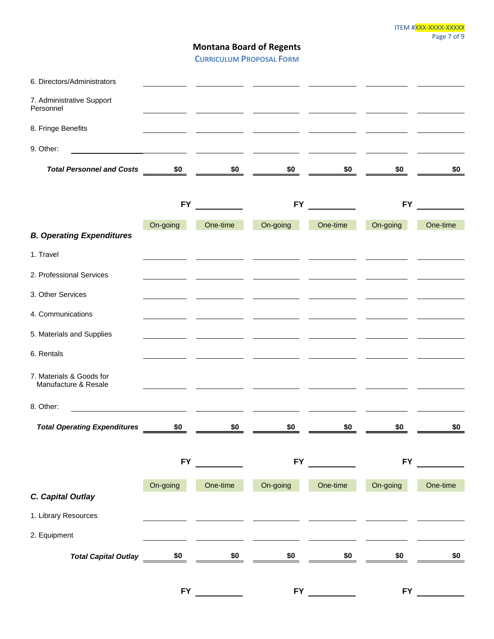**CURRICULUM PROPOSAL FORM**

| 6. Directors/Administrators                                                                                                        |                                   |                       |                                                                                       |                       |                                                                                                                                                                                                                                      |          |
|------------------------------------------------------------------------------------------------------------------------------------|-----------------------------------|-----------------------|---------------------------------------------------------------------------------------|-----------------------|--------------------------------------------------------------------------------------------------------------------------------------------------------------------------------------------------------------------------------------|----------|
| 7. Administrative Support<br>Personnel                                                                                             | the control of the control of the |                       |                                                                                       |                       | <u> The Community of the Community of the Community of the Community of the Community of the Community of the Community of the Community of the Community of the Community of the Community of the Community of the Community of</u> |          |
| 8. Fringe Benefits                                                                                                                 | the company of the company of     |                       | <u> 1989 - John Stone, amerikansk politiker (d. 1989)</u><br><b>Contract Contract</b> |                       |                                                                                                                                                                                                                                      |          |
| 9. Other:                                                                                                                          |                                   |                       |                                                                                       |                       |                                                                                                                                                                                                                                      |          |
| <b>Total Personnel and Costs</b>                                                                                                   | $rac{$0}{}$ $rac{1}{2}$           |                       | $\frac{10}{2}$                                                                        | $\frac{1}{20}$ -      | $$0$ $-$                                                                                                                                                                                                                             | \$0      |
|                                                                                                                                    | <b>FY</b>                         |                       | <b>FY</b>                                                                             |                       | <b>FY</b>                                                                                                                                                                                                                            |          |
| <b>B. Operating Expenditures</b>                                                                                                   | On-going                          | One-time              | On-going                                                                              | One-time              | On-going                                                                                                                                                                                                                             | One-time |
| 1. Travel                                                                                                                          |                                   |                       |                                                                                       |                       |                                                                                                                                                                                                                                      |          |
| 2. Professional Services                                                                                                           |                                   |                       |                                                                                       |                       |                                                                                                                                                                                                                                      |          |
| 3. Other Services                                                                                                                  |                                   |                       |                                                                                       |                       |                                                                                                                                                                                                                                      |          |
| 4. Communications                                                                                                                  |                                   |                       |                                                                                       |                       |                                                                                                                                                                                                                                      |          |
| 5. Materials and Supplies                                                                                                          |                                   |                       |                                                                                       |                       |                                                                                                                                                                                                                                      |          |
| 6. Rentals                                                                                                                         |                                   |                       |                                                                                       |                       |                                                                                                                                                                                                                                      |          |
| 7. Materials & Goods for<br>Manufacture & Resale                                                                                   |                                   |                       |                                                                                       |                       |                                                                                                                                                                                                                                      |          |
| 8. Other:<br><u> 1980 - Jan Barbara Barbara, maso a shekara 1980 - André Barbara a San Barbara a San Barbara a San Barbara a S</u> |                                   |                       |                                                                                       |                       |                                                                                                                                                                                                                                      |          |
| <b>Total Operating Expenditures</b>                                                                                                | \$0                               | \$0                   | \$0                                                                                   | \$0                   | \$0                                                                                                                                                                                                                                  | \$0      |
|                                                                                                                                    |                                   | FY POWER TO THE TABLE |                                                                                       | FY POWER TO THE TABLE | <b>FY</b>                                                                                                                                                                                                                            |          |
|                                                                                                                                    | On-going                          | One-time              | On-going                                                                              | One-time              | On-going                                                                                                                                                                                                                             | One-time |
| C. Capital Outlay                                                                                                                  |                                   |                       |                                                                                       |                       |                                                                                                                                                                                                                                      |          |
| 1. Library Resources                                                                                                               |                                   |                       |                                                                                       |                       |                                                                                                                                                                                                                                      |          |
| 2. Equipment                                                                                                                       |                                   |                       |                                                                                       |                       |                                                                                                                                                                                                                                      |          |
| <b>Total Capital Outlay</b>                                                                                                        | $\frac{$0]^{2}}{2}$               | \$0                   | \$0                                                                                   | \$0                   | \$0                                                                                                                                                                                                                                  | \$0      |
|                                                                                                                                    | <b>FY</b>                         |                       | <b>FY</b>                                                                             |                       | <b>FY</b>                                                                                                                                                                                                                            |          |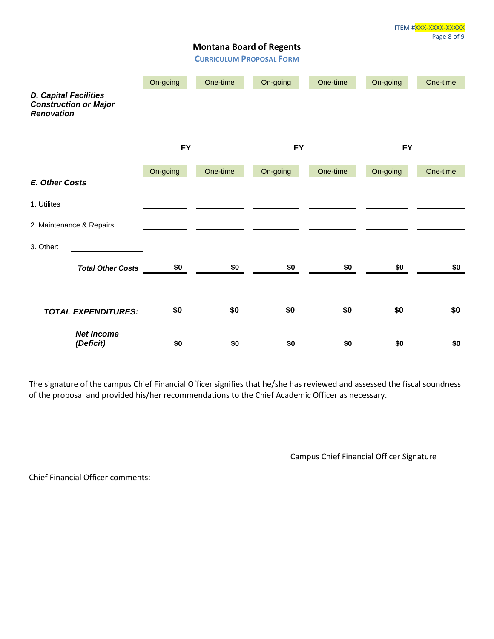**CURRICULUM PROPOSAL FORM**

|                                                                                   | On-going  | One-time | On-going   | One-time | On-going  | One-time |
|-----------------------------------------------------------------------------------|-----------|----------|------------|----------|-----------|----------|
| <b>D. Capital Facilities</b><br><b>Construction or Major</b><br><b>Renovation</b> |           |          |            |          |           |          |
|                                                                                   | <b>FY</b> |          | <b>FY</b>  |          | <b>FY</b> |          |
|                                                                                   | On-going  | One-time | On-going   | One-time | On-going  | One-time |
| <b>E. Other Costs</b>                                                             |           |          |            |          |           |          |
| 1. Utilites                                                                       |           |          |            |          |           |          |
| 2. Maintenance & Repairs                                                          |           |          |            |          |           |          |
| 3. Other:                                                                         |           |          |            |          |           |          |
|                                                                                   |           |          | \$0<br>\$0 | \$0      | \$0       | \$0      |
| <b>TOTAL EXPENDITURES:</b>                                                        | \$0       | \$0      | \$0        | \$0      | \$0       | \$0      |
| <b>Net Income</b><br>(Deficit)                                                    | \$0       | \$0      | \$0        | \$0      | \$0       | \$0      |

The signature of the campus Chief Financial Officer signifies that he/she has reviewed and assessed the fiscal soundness of the proposal and provided his/her recommendations to the Chief Academic Officer as necessary.

Campus Chief Financial Officer Signature

\_\_\_\_\_\_\_\_\_\_\_\_\_\_\_\_\_\_\_\_\_\_\_\_\_\_\_\_\_\_\_\_\_\_\_\_\_\_\_

Chief Financial Officer comments: